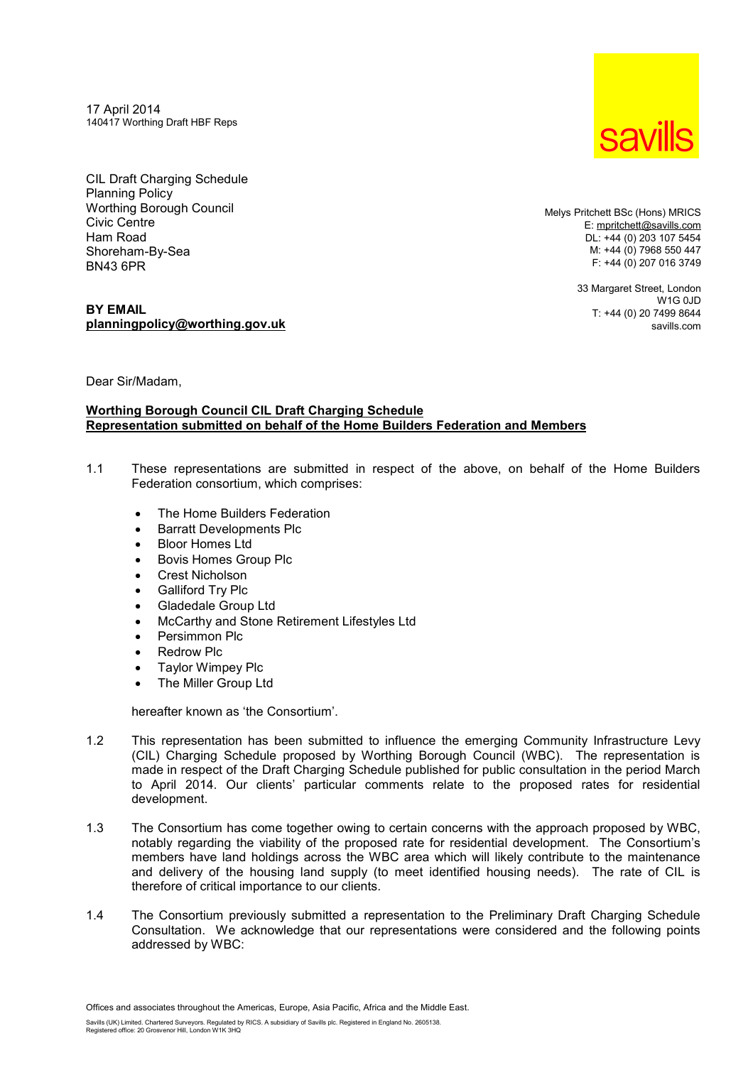17 April 2014 140417 Worthing Draft HBF Reps

CIL Draft Charging Schedule Planning Policy Worthing Borough Council Civic Centre Ham Road Shoreham-By-Sea BN43 6PR

# **BY EMAIL [planningpolicy@worthing.gov.uk](mailto:planningpolicy@worthing.gov.uk)**

Melys Pritchett BSc (Hons) MRICS E: [mpritchett@savills.com](mailto:mpritchett@savills.com) DL: +44 (0) 203 107 5454 M: +44 (0) 7968 550 447 F: +44 (0) 207 016 3749

> 33 Margaret Street, London  $W1G$   $0.ID$ T: +44 (0) 20 7499 8644 savills.com

Dear Sir/Madam,

### **Worthing Borough Council CIL Draft Charging Schedule Representation submitted on behalf of the Home Builders Federation and Members**

- 1.1 These representations are submitted in respect of the above, on behalf of the Home Builders Federation consortium, which comprises:
	- · The Home Builders Federation
	- · Barratt Developments Plc
	- · Bloor Homes Ltd
	- · Bovis Homes Group Plc
	- · Crest Nicholson
	- · Galliford Try Plc
	- · Gladedale Group Ltd
	- · McCarthy and Stone Retirement Lifestyles Ltd
	- Persimmon Plc
	- · Redrow Plc
	- · Taylor Wimpey Plc
	- · The Miller Group Ltd

hereafter known as 'the Consortium'.

- 1.2 This representation has been submitted to influence the emerging Community Infrastructure Levy (CIL) Charging Schedule proposed by Worthing Borough Council (WBC). The representation is made in respect of the Draft Charging Schedule published for public consultation in the period March to April 2014. Our clients' particular comments relate to the proposed rates for residential development.
- 1.3 The Consortium has come together owing to certain concerns with the approach proposed by WBC, notably regarding the viability of the proposed rate for residential development. The Consortium's members have land holdings across the WBC area which will likely contribute to the maintenance and delivery of the housing land supply (to meet identified housing needs). The rate of CIL is therefore of critical importance to our clients.
- 1.4 The Consortium previously submitted a representation to the Preliminary Draft Charging Schedule Consultation. We acknowledge that our representations were considered and the following points addressed by WBC:

Offices and associates throughout the Americas, Europe, Asia Pacific, Africa and the Middle East.

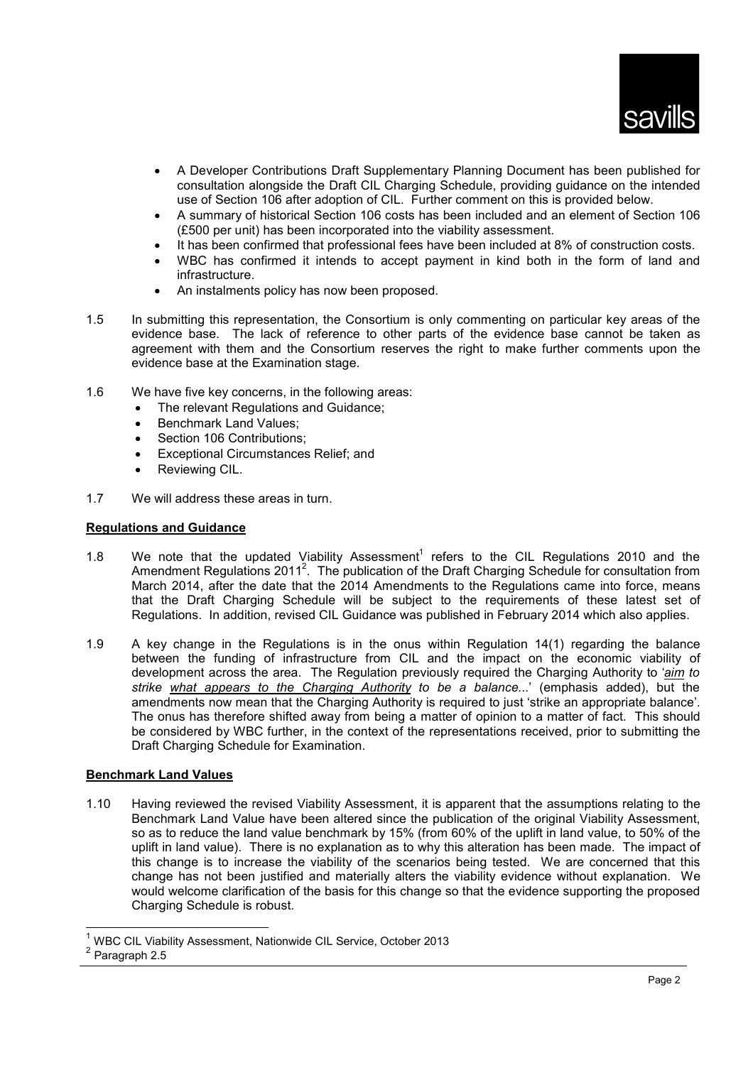- · A Developer Contributions Draft Supplementary Planning Document has been published for consultation alongside the Draft CIL Charging Schedule, providing guidance on the intended use of Section 106 after adoption of CIL. Further comment on this is provided below.
- · A summary of historical Section 106 costs has been included and an element of Section 106 (£500 per unit) has been incorporated into the viability assessment.
- It has been confirmed that professional fees have been included at 8% of construction costs.
- WBC has confirmed it intends to accept payment in kind both in the form of land and infrastructure.
- · An instalments policy has now been proposed.
- 1.5 In submitting this representation, the Consortium is only commenting on particular key areas of the evidence base. The lack of reference to other parts of the evidence base cannot be taken as agreement with them and the Consortium reserves the right to make further comments upon the evidence base at the Examination stage.
- 1.6 We have five key concerns, in the following areas:
	- · The relevant Regulations and Guidance;
	- Benchmark Land Values:
	- Section 106 Contributions:
	- Exceptional Circumstances Relief; and
	- Reviewing CIL.
- 1.7 We will address these areas in turn.

## **Regulations and Guidance**

- 1.8 We note that the updated Viability Assessment<sup>1</sup> refers to the CIL Regulations 2010 and the Amendment Regulations 2011<sup>2</sup>. The publication of the Draft Charging Schedule for consultation from March 2014, after the date that the 2014 Amendments to the Regulations came into force, means that the Draft Charging Schedule will be subject to the requirements of these latest set of Regulations. In addition, revised CIL Guidance was published in February 2014 which also applies.
- 1.9 A key change in the Regulations is in the onus within Regulation 14(1) regarding the balance between the funding of infrastructure from CIL and the impact on the economic viability of development across the area. The Regulation previously required the Charging Authority to '*aim to strike what appears to the Charging Authority to be a balance...*' (emphasis added), but the amendments now mean that the Charging Authority is required to just 'strike an appropriate balance'. The onus has therefore shifted away from being a matter of opinion to a matter of fact. This should be considered by WBC further, in the context of the representations received, prior to submitting the Draft Charging Schedule for Examination.

# **Benchmark Land Values**

1.10 Having reviewed the revised Viability Assessment, it is apparent that the assumptions relating to the Benchmark Land Value have been altered since the publication of the original Viability Assessment, so as to reduce the land value benchmark by 15% (from 60% of the uplift in land value, to 50% of the uplift in land value). There is no explanation as to why this alteration has been made. The impact of this change is to increase the viability of the scenarios being tested. We are concerned that this change has not been justified and materially alters the viability evidence without explanation. We would welcome clarification of the basis for this change so that the evidence supporting the proposed Charging Schedule is robust.

l

<sup>1</sup> WBC CIL Viability Assessment, Nationwide CIL Service, October 2013

<sup>&</sup>lt;sup>2</sup> Paragraph 2.5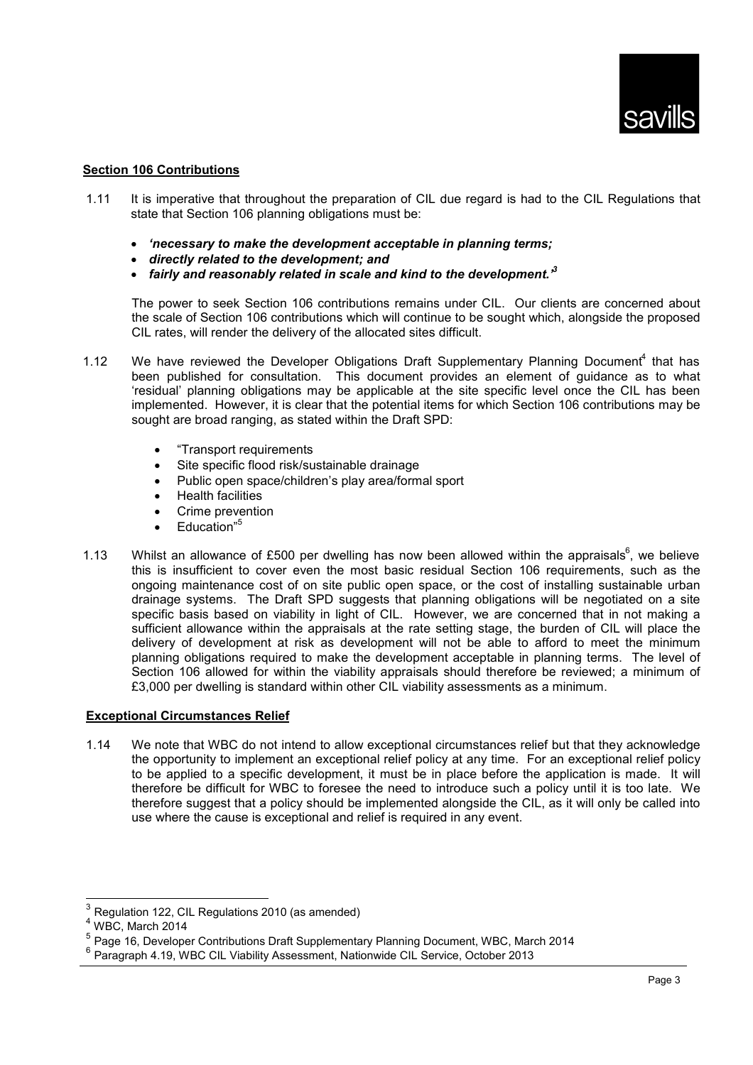### **Section 106 Contributions**

- 1.11 It is imperative that throughout the preparation of CIL due regard is had to the CIL Regulations that state that Section 106 planning obligations must be:
	- · *'necessary to make the development acceptable in planning terms;*
	- · *directly related to the development; and*
	- · *fairly and reasonably related in scale and kind to the development.'<sup>3</sup>*

The power to seek Section 106 contributions remains under CIL. Our clients are concerned about the scale of Section 106 contributions which will continue to be sought which, alongside the proposed CIL rates, will render the delivery of the allocated sites difficult.

- 1.12 We have reviewed the Developer Obligations Draft Supplementary Planning Document<sup>4</sup> that has been published for consultation. This document provides an element of guidance as to what 'residual' planning obligations may be applicable at the site specific level once the CIL has been implemented. However, it is clear that the potential items for which Section 106 contributions may be sought are broad ranging, as stated within the Draft SPD:
	- · "Transport requirements
	- · Site specific flood risk/sustainable drainage
	- · Public open space/children's play area/formal sport
	- · Health facilities
	- · Crime prevention
	- $\bullet$   $\quad$  Education<sup>"5</sup>
- 1.13 Whilst an allowance of £500 per dwelling has now been allowed within the appraisals<sup>6</sup>, we believe this is insufficient to cover even the most basic residual Section 106 requirements, such as the ongoing maintenance cost of on site public open space, or the cost of installing sustainable urban drainage systems. The Draft SPD suggests that planning obligations will be negotiated on a site specific basis based on viability in light of CIL. However, we are concerned that in not making a sufficient allowance within the appraisals at the rate setting stage, the burden of CIL will place the delivery of development at risk as development will not be able to afford to meet the minimum planning obligations required to make the development acceptable in planning terms. The level of Section 106 allowed for within the viability appraisals should therefore be reviewed; a minimum of £3,000 per dwelling is standard within other CIL viability assessments as a minimum.

#### **Exceptional Circumstances Relief**

1.14 We note that WBC do not intend to allow exceptional circumstances relief but that they acknowledge the opportunity to implement an exceptional relief policy at any time. For an exceptional relief policy to be applied to a specific development, it must be in place before the application is made. It will therefore be difficult for WBC to foresee the need to introduce such a policy until it is too late. We therefore suggest that a policy should be implemented alongside the CIL, as it will only be called into use where the cause is exceptional and relief is required in any event.

l

<sup>3</sup> Regulation 122, CIL Regulations 2010 (as amended)

 $4$  WBC. March 2014

<sup>&</sup>lt;sup>5</sup> Page 16, Developer Contributions Draft Supplementary Planning Document, WBC, March 2014

<sup>&</sup>lt;sup>6</sup> Paragraph 4.19, WBC CIL Viability Assessment, Nationwide CIL Service, October 2013